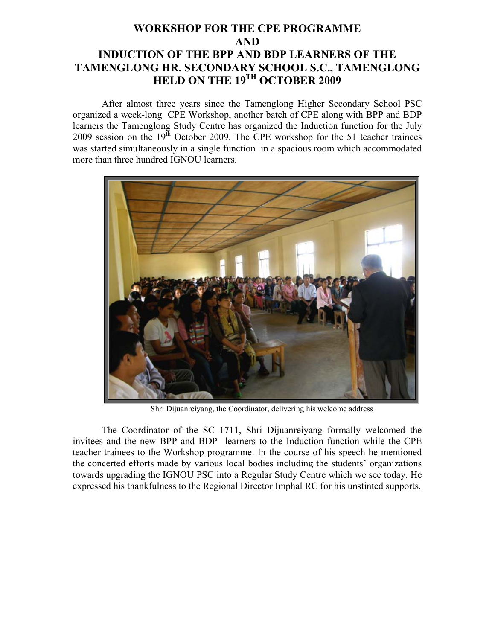## **WORKSHOP FOR THE CPE PROGRAMME AND INDUCTION OF THE BPP AND BDP LEARNERS OF THE TAMENGLONG HR. SECONDARY SCHOOL S.C., TAMENGLONG HELD ON THE 19TH OCTOBER 2009**

After almost three years since the Tamenglong Higher Secondary School PSC organized a week-long CPE Workshop, another batch of CPE along with BPP and BDP learners the Tamenglong Study Centre has organized the Induction function for the July 2009 session on the  $19<sup>th</sup>$  October 2009. The CPE workshop for the 51 teacher trainees was started simultaneously in a single function in a spacious room which accommodated more than three hundred IGNOU learners.



Shri Dijuanreiyang, the Coordinator, delivering his welcome address

The Coordinator of the SC 1711, Shri Dijuanreiyang formally welcomed the invitees and the new BPP and BDP learners to the Induction function while the CPE teacher trainees to the Workshop programme. In the course of his speech he mentioned the concerted efforts made by various local bodies including the students' organizations towards upgrading the IGNOU PSC into a Regular Study Centre which we see today. He expressed his thankfulness to the Regional Director Imphal RC for his unstinted supports.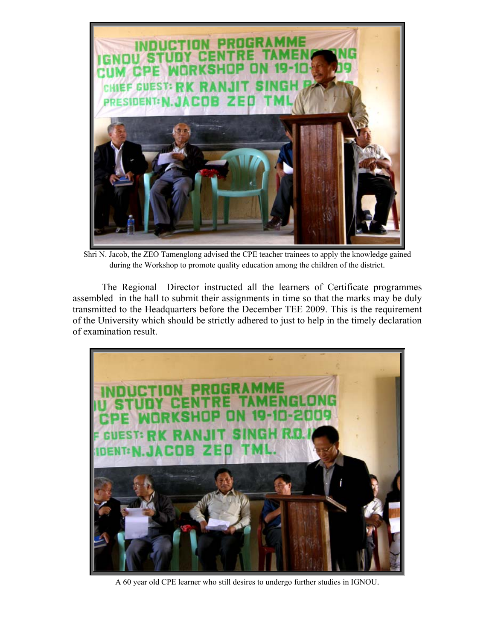

Shri N. Jacob, the ZEO Tamenglong advised the CPE teacher trainees to apply the knowledge gained during the Workshop to promote quality education among the children of the district.

 The Regional Director instructed all the learners of Certificate programmes assembled in the hall to submit their assignments in time so that the marks may be duly transmitted to the Headquarters before the December TEE 2009. This is the requirement of the University which should be strictly adhered to just to help in the timely declaration of examination result.



A 60 year old CPE learner who still desires to undergo further studies in IGNOU.